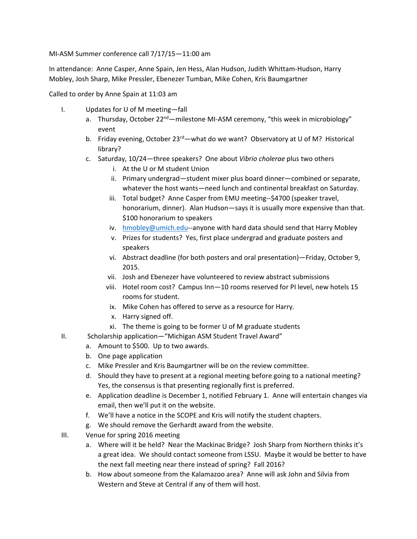MI‐ASM Summer conference call 7/17/15—11:00 am

In attendance: Anne Casper, Anne Spain, Jen Hess, Alan Hudson, Judith Whittam‐Hudson, Harry Mobley, Josh Sharp, Mike Pressler, Ebenezer Tumban, Mike Cohen, Kris Baumgartner

Called to order by Anne Spain at 11:03 am

- I. Updates for U of M meeting—fall
	- a. Thursday, October 22<sup>nd</sup>—milestone MI-ASM ceremony, "this week in microbiology" event
	- b. Friday evening, October  $23<sup>rd</sup>$  what do we want? Observatory at U of M? Historical library?
	- c. Saturday, 10/24—three speakers? One about *Vibrio cholerae* plus two others
		- i. At the U or M student Union
		- ii. Primary undergrad—student mixer plus board dinner—combined or separate, whatever the host wants—need lunch and continental breakfast on Saturday.
		- iii. Total budget? Anne Casper from EMU meeting--\$4700 (speaker travel, honorarium, dinner). Alan Hudson—says it is usually more expensive than that. \$100 honorarium to speakers
		- iv. hmobley@umich.edu--anyone with hard data should send that Harry Mobley
		- v. Prizes for students? Yes, first place undergrad and graduate posters and speakers
		- vi. Abstract deadline (for both posters and oral presentation)—Friday, October 9, 2015.
		- vii. Josh and Ebenezer have volunteered to review abstract submissions
		- viii. Hotel room cost? Campus Inn—10 rooms reserved for PI level, new hotels 15 rooms for student.
		- ix. Mike Cohen has offered to serve as a resource for Harry.
		- x. Harry signed off.
		- xi. The theme is going to be former U of M graduate students
- II. Scholarship application—"Michigan ASM Student Travel Award"
	- a. Amount to \$500. Up to two awards.
	- b. One page application
	- c. Mike Pressler and Kris Baumgartner will be on the review committee.
	- d. Should they have to present at a regional meeting before going to a national meeting? Yes, the consensus is that presenting regionally first is preferred.
	- e. Application deadline is December 1, notified February 1. Anne will entertain changes via email, then we'll put it on the website.
	- f. We'll have a notice in the SCOPE and Kris will notify the student chapters.
	- g. We should remove the Gerhardt award from the website.
- III. Venue for spring 2016 meeting
	- a. Where will it be held? Near the Mackinac Bridge? Josh Sharp from Northern thinks it's a great idea. We should contact someone from LSSU. Maybe it would be better to have the next fall meeting near there instead of spring? Fall 2016?
	- b. How about someone from the Kalamazoo area? Anne will ask John and Silvia from Western and Steve at Central if any of them will host.